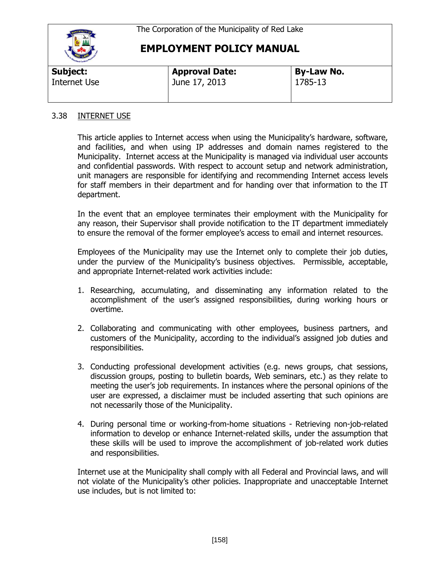

## **EMPLOYMENT POLICY MANUAL**

| Subject:     | <b>Approval Date:</b> | <b>By-Law No.</b> |  |
|--------------|-----------------------|-------------------|--|
| Internet Use | June 17, 2013         | 1785-13           |  |

## 3.38 INTERNET USE

This article applies to Internet access when using the Municipality's hardware, software, and facilities, and when using IP addresses and domain names registered to the Municipality. Internet access at the Municipality is managed via individual user accounts and confidential passwords. With respect to account setup and network administration, unit managers are responsible for identifying and recommending Internet access levels for staff members in their department and for handing over that information to the IT department.

In the event that an employee terminates their employment with the Municipality for any reason, their Supervisor shall provide notification to the IT department immediately to ensure the removal of the former employee's access to email and internet resources.

Employees of the Municipality may use the Internet only to complete their job duties, under the purview of the Municipality's business objectives. Permissible, acceptable, and appropriate Internet-related work activities include:

- 1. Researching, accumulating, and disseminating any information related to the accomplishment of the user's assigned responsibilities, during working hours or overtime.
- 2. Collaborating and communicating with other employees, business partners, and customers of the Municipality, according to the individual's assigned job duties and responsibilities.
- 3. Conducting professional development activities (e.g. news groups, chat sessions, discussion groups, posting to bulletin boards, Web seminars, etc.) as they relate to meeting the user's job requirements. In instances where the personal opinions of the user are expressed, a disclaimer must be included asserting that such opinions are not necessarily those of the Municipality.
- 4. During personal time or working-from-home situations Retrieving non-job-related information to develop or enhance Internet-related skills, under the assumption that these skills will be used to improve the accomplishment of job-related work duties and responsibilities.

Internet use at the Municipality shall comply with all Federal and Provincial laws, and will not violate of the Municipality's other policies. Inappropriate and unacceptable Internet use includes, but is not limited to: